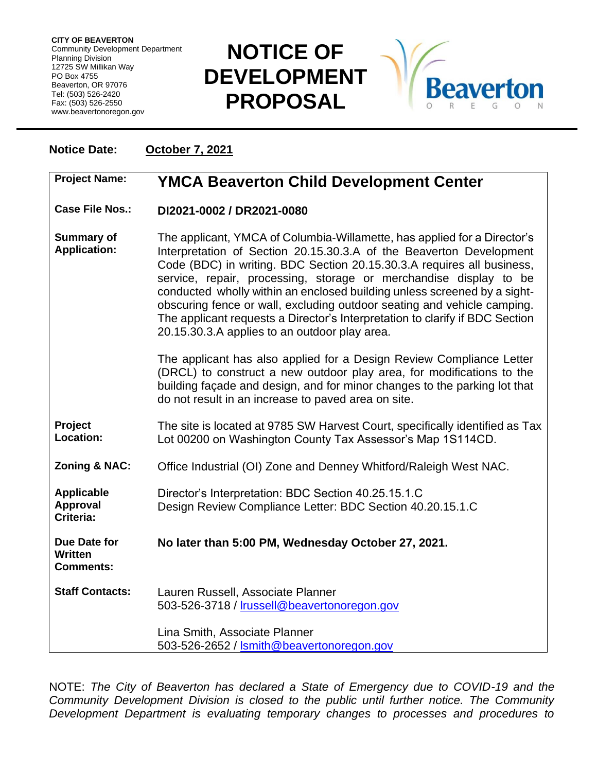**CITY OF BEAVERTON** Community Development Department Planning Division 12725 SW Millikan Way PO Box 4755 Beaverton, OR 97076 Tel: (503) 526-2420 Fax: (503) 526-2550 www.beavertonoregon.gov

## **NOTICE OF DEVELOPMENT PROPOSAL**



## **Notice Date: October 7, 2021**

| <b>Project Name:</b>                               | <b>YMCA Beaverton Child Development Center</b>                                                                                                                                                                                                                                                                                                                                                                                                                                                                                                                                         |
|----------------------------------------------------|----------------------------------------------------------------------------------------------------------------------------------------------------------------------------------------------------------------------------------------------------------------------------------------------------------------------------------------------------------------------------------------------------------------------------------------------------------------------------------------------------------------------------------------------------------------------------------------|
| <b>Case File Nos.:</b>                             | DI2021-0002 / DR2021-0080                                                                                                                                                                                                                                                                                                                                                                                                                                                                                                                                                              |
| <b>Summary of</b><br><b>Application:</b>           | The applicant, YMCA of Columbia-Willamette, has applied for a Director's<br>Interpretation of Section 20.15.30.3.A of the Beaverton Development<br>Code (BDC) in writing. BDC Section 20.15.30.3.A requires all business,<br>service, repair, processing, storage or merchandise display to be<br>conducted wholly within an enclosed building unless screened by a sight-<br>obscuring fence or wall, excluding outdoor seating and vehicle camping.<br>The applicant requests a Director's Interpretation to clarify if BDC Section<br>20.15.30.3.A applies to an outdoor play area. |
|                                                    | The applicant has also applied for a Design Review Compliance Letter<br>(DRCL) to construct a new outdoor play area, for modifications to the<br>building façade and design, and for minor changes to the parking lot that<br>do not result in an increase to paved area on site.                                                                                                                                                                                                                                                                                                      |
| Project<br>Location:                               | The site is located at 9785 SW Harvest Court, specifically identified as Tax<br>Lot 00200 on Washington County Tax Assessor's Map 1S114CD.                                                                                                                                                                                                                                                                                                                                                                                                                                             |
| Zoning & NAC:                                      | Office Industrial (OI) Zone and Denney Whitford/Raleigh West NAC.                                                                                                                                                                                                                                                                                                                                                                                                                                                                                                                      |
| <b>Applicable</b><br>Approval<br>Criteria:         | Director's Interpretation: BDC Section 40.25.15.1.C<br>Design Review Compliance Letter: BDC Section 40.20.15.1.C                                                                                                                                                                                                                                                                                                                                                                                                                                                                       |
| Due Date for<br><b>Written</b><br><b>Comments:</b> | No later than 5:00 PM, Wednesday October 27, 2021.                                                                                                                                                                                                                                                                                                                                                                                                                                                                                                                                     |
| <b>Staff Contacts:</b>                             | Lauren Russell, Associate Planner<br>503-526-3718 / Irussell@beavertonoregon.gov                                                                                                                                                                                                                                                                                                                                                                                                                                                                                                       |
|                                                    | Lina Smith, Associate Planner<br>503-526-2652 / Ismith@beavertonoregon.gov                                                                                                                                                                                                                                                                                                                                                                                                                                                                                                             |

NOTE: *The City of Beaverton has declared a State of Emergency due to COVID-19 and the Community Development Division is closed to the public until further notice. The Community Development Department is evaluating temporary changes to processes and procedures to*